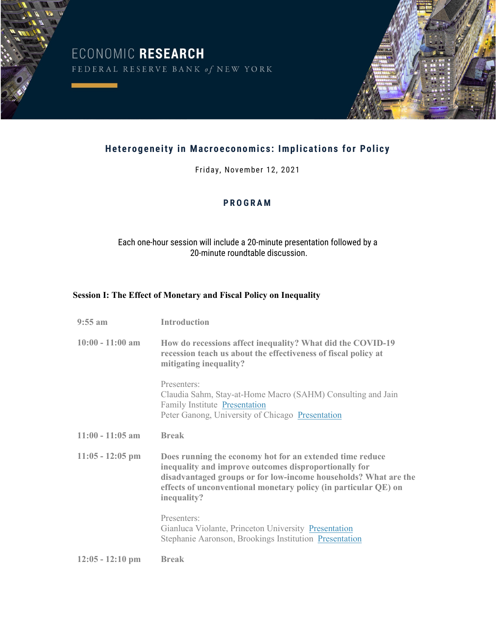ECONOMIC RESEARCH<br>FEDERAL RESERVE BANK of NEW YORK



# **Heterogeneity in Macroeconomics: Implications for Policy**

Friday, November 12, 2021

## **PROGRAM**

## Each one-hour session will include a 20-minute presentation followed by a 20-minute roundtable discussion.

#### **Session I: The Effect of Monetary and Fiscal Policy on Inequality**

| $9:55$ am          | <b>Introduction</b>                                                                                                                                                                                                                                                    |
|--------------------|------------------------------------------------------------------------------------------------------------------------------------------------------------------------------------------------------------------------------------------------------------------------|
| $10:00 - 11:00$ am | How do recessions affect inequality? What did the COVID-19<br>recession teach us about the effectiveness of fiscal policy at<br>mitigating inequality?                                                                                                                 |
|                    | Presenters:<br>Claudia Sahm, Stay-at-Home Macro (SAHM) Consulting and Jain<br><b>Family Institute Presentation</b><br>Peter Ganong, University of Chicago Presentation                                                                                                 |
| $11:00 - 11:05$ am | <b>Break</b>                                                                                                                                                                                                                                                           |
| $11:05 - 12:05$ pm | Does running the economy hot for an extended time reduce<br>inequality and improve outcomes disproportionally for<br>disadvantaged groups or for low-income households? What are the<br>effects of unconventional monetary policy (in particular QE) on<br>inequality? |
|                    | Presenters:<br>Gianluca Violante, Princeton University Presentation<br>Stephanie Aaronson, Brookings Institution Presentation                                                                                                                                          |
| $12:05 - 12:10$ pm | <b>Break</b>                                                                                                                                                                                                                                                           |